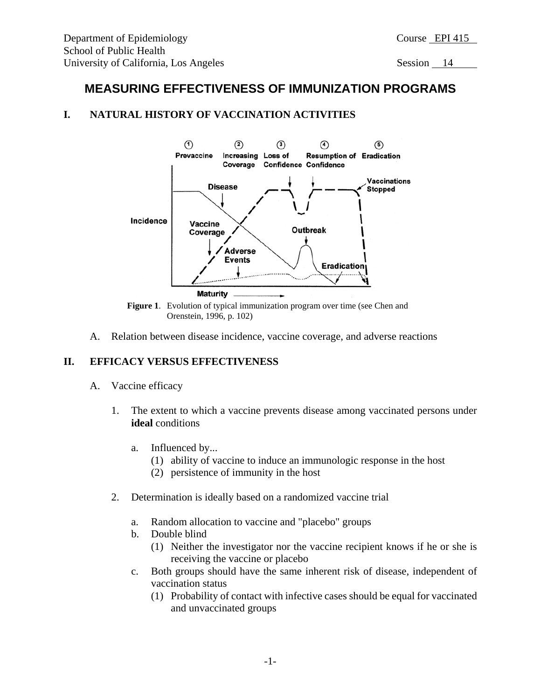# **MEASURING EFFECTIVENESS OF IMMUNIZATION PROGRAMS**

## **I. NATURAL HISTORY OF VACCINATION ACTIVITIES**



Orenstein, 1996, p. 102)

A. Relation between disease incidence, vaccine coverage, and adverse reactions

## **II. EFFICACY VERSUS EFFECTIVENESS**

- A. Vaccine efficacy
	- 1. The extent to which a vaccine prevents disease among vaccinated persons under **ideal** conditions
		- a. Influenced by...
			- (1) ability of vaccine to induce an immunologic response in the host
			- (2) persistence of immunity in the host
	- 2. Determination is ideally based on a randomized vaccine trial
		- a. Random allocation to vaccine and "placebo" groups
		- b. Double blind
			- (1) Neither the investigator nor the vaccine recipient knows if he or she is receiving the vaccine or placebo
		- c. Both groups should have the same inherent risk of disease, independent of vaccination status
			- (1) Probability of contact with infective cases should be equal for vaccinated and unvaccinated groups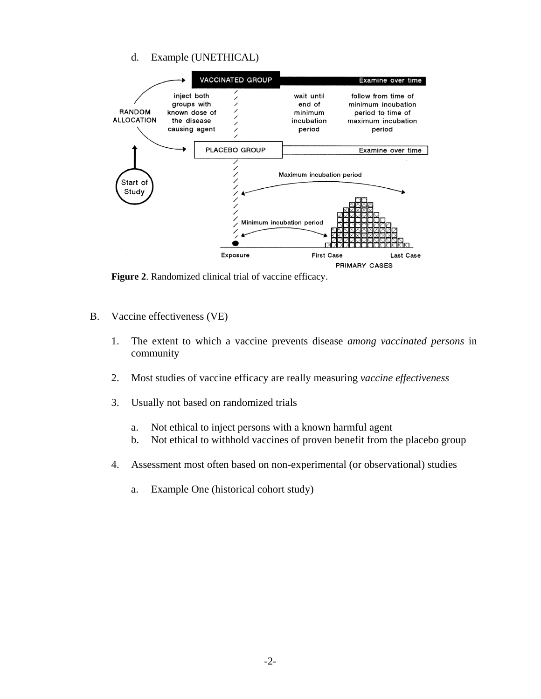## d. Example (UNETHICAL)



**Figure 2**. Randomized clinical trial of vaccine efficacy.

- B. Vaccine effectiveness (VE)
	- 1. The extent to which a vaccine prevents disease *among vaccinated persons* in community
	- 2. Most studies of vaccine efficacy are really measuring *vaccine effectiveness*
	- 3. Usually not based on randomized trials
		- a. Not ethical to inject persons with a known harmful agent
		- b. Not ethical to withhold vaccines of proven benefit from the placebo group
	- 4. Assessment most often based on non-experimental (or observational) studies
		- a. Example One (historical cohort study)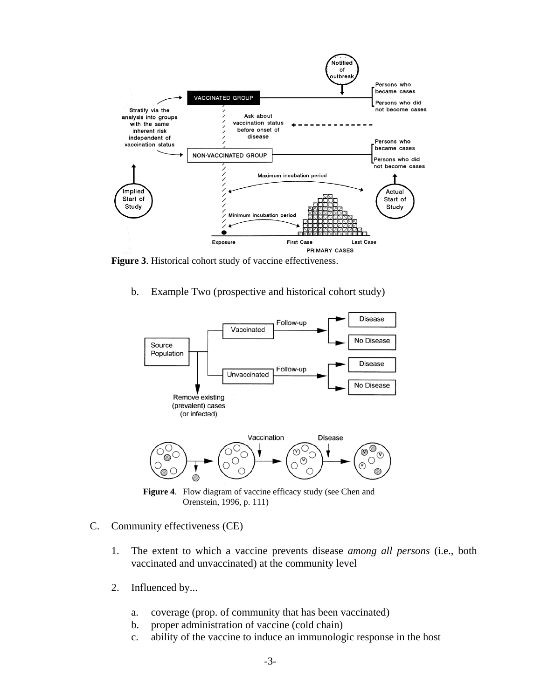

**Figure 3**. Historical cohort study of vaccine effectiveness.

b. Example Two (prospective and historical cohort study)



**Figure 4**. Flow diagram of vaccine efficacy study (see Chen and Orenstein, 1996, p. 111)

- C. Community effectiveness (CE)
	- 1. The extent to which a vaccine prevents disease *among all persons* (i.e., both vaccinated and unvaccinated) at the community level
	- 2. Influenced by...
		- a. coverage (prop. of community that has been vaccinated)
		- b. proper administration of vaccine (cold chain)
		- c. ability of the vaccine to induce an immunologic response in the host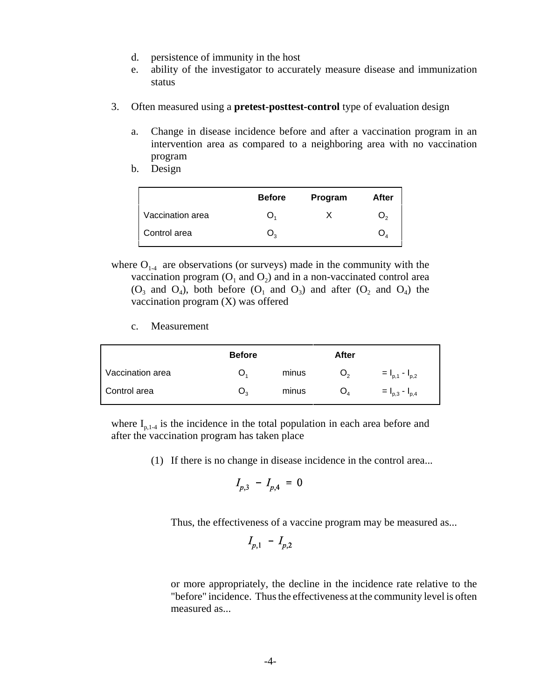- d. persistence of immunity in the host
- e. ability of the investigator to accurately measure disease and immunization status
- 3. Often measured using a **pretest-posttest-control** type of evaluation design
	- a. Change in disease incidence before and after a vaccination program in an intervention area as compared to a neighboring area with no vaccination program
	- b. Design

|                  | <b>Before</b> | Program | After |
|------------------|---------------|---------|-------|
| Vaccination area |               |         |       |
| Control area     |               |         |       |

- where  $O_{1.4}$  are observations (or surveys) made in the community with the vaccination program  $(O_1 \text{ and } O_2)$  and in a non-vaccinated control area  $(O_3$  and  $O_4$ ), both before  $(O_1$  and  $O_3)$  and after  $(O_2$  and  $O_4)$  the vaccination program (X) was offered
	- c. Measurement

|                  | <b>Before</b> |       | After          |                       |
|------------------|---------------|-------|----------------|-----------------------|
| Vaccination area |               | minus | $\mathsf{U}_2$ | $= I_{p,1} - I_{p,2}$ |
| Control area     | Ő,            | minus | $O_4$          | $= I_{p,3} - I_{p,4}$ |

where  $I_{p,1-4}$  is the incidence in the total population in each area before and after the vaccination program has taken place

(1) If there is no change in disease incidence in the control area...

$$
I_{p,3} - I_{p,4} = 0
$$

Thus, the effectiveness of a vaccine program may be measured as...

$$
I_{p,1} - I_{p,2}
$$

or more appropriately, the decline in the incidence rate relative to the "before" incidence. Thus the effectiveness at the community level is often measured as...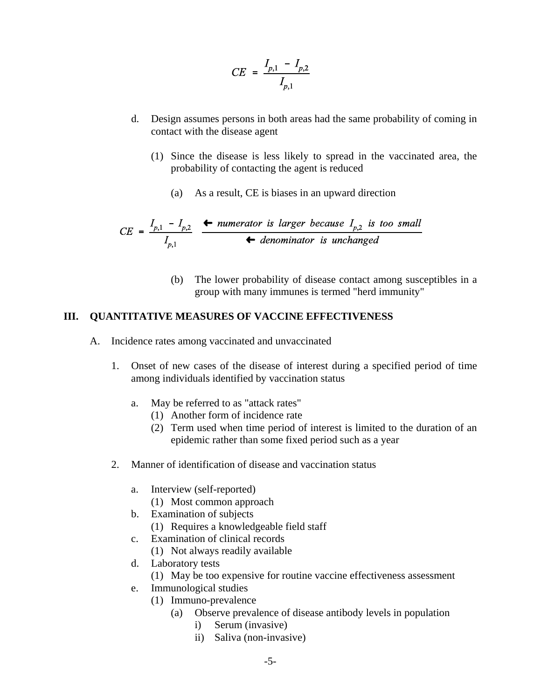$$
CE = \frac{I_{p,1} - I_{p,2}}{I_{p,1}}
$$

- d. Design assumes persons in both areas had the same probability of coming in contact with the disease agent
	- (1) Since the disease is less likely to spread in the vaccinated area, the probability of contacting the agent is reduced
		- (a) As a result, CE is biases in an upward direction

$$
CE = \frac{I_{p,1} - I_{p,2}}{I_{p,1}} \xrightarrow{\text{+ numerator is larger because } I_{p,2} \text{ is too small}}
$$
  
\n
$$
\text{+ denominator is unchanged}
$$

(b) The lower probability of disease contact among susceptibles in a group with many immunes is termed "herd immunity"

#### **III. QUANTITATIVE MEASURES OF VACCINE EFFECTIVENESS**

- A. Incidence rates among vaccinated and unvaccinated
	- 1. Onset of new cases of the disease of interest during a specified period of time among individuals identified by vaccination status
		- a. May be referred to as "attack rates"
			- (1) Another form of incidence rate
			- (2) Term used when time period of interest is limited to the duration of an epidemic rather than some fixed period such as a year
	- 2. Manner of identification of disease and vaccination status
		- a. Interview (self-reported)
			- (1) Most common approach
		- b. Examination of subjects
			- (1) Requires a knowledgeable field staff
		- c. Examination of clinical records
			- (1) Not always readily available
		- d. Laboratory tests
			- (1) May be too expensive for routine vaccine effectiveness assessment
		- e. Immunological studies
			- (1) Immuno-prevalence
				- (a) Observe prevalence of disease antibody levels in population
					- i) Serum (invasive)
					- ii) Saliva (non-invasive)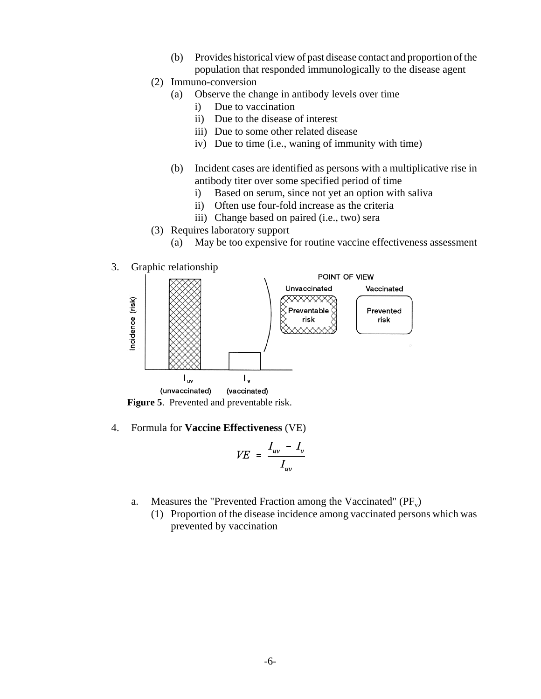- (b) Provides historical view of past disease contact and proportion of the population that responded immunologically to the disease agent
- (2) Immuno-conversion
	- (a) Observe the change in antibody levels over time
		- i) Due to vaccination
		- ii) Due to the disease of interest
		- iii) Due to some other related disease
		- iv) Due to time (i.e., waning of immunity with time)
	- (b) Incident cases are identified as persons with a multiplicative rise in antibody titer over some specified period of time
		- i) Based on serum, since not yet an option with saliva
		- ii) Often use four-fold increase as the criteria
		- iii) Change based on paired (i.e., two) sera
- (3) Requires laboratory support
	- (a) May be too expensive for routine vaccine effectiveness assessment
- 3. Graphic relationship



**Figure 5**. Prevented and preventable risk.

4. Formula for **Vaccine Effectiveness** (VE)

$$
VE = \frac{I_{uv} - I_{v}}{I_{uv}}
$$

- a. Measures the "Prevented Fraction among the Vaccinated"  $(PF_v)$ 
	- (1) Proportion of the disease incidence among vaccinated persons which was prevented by vaccination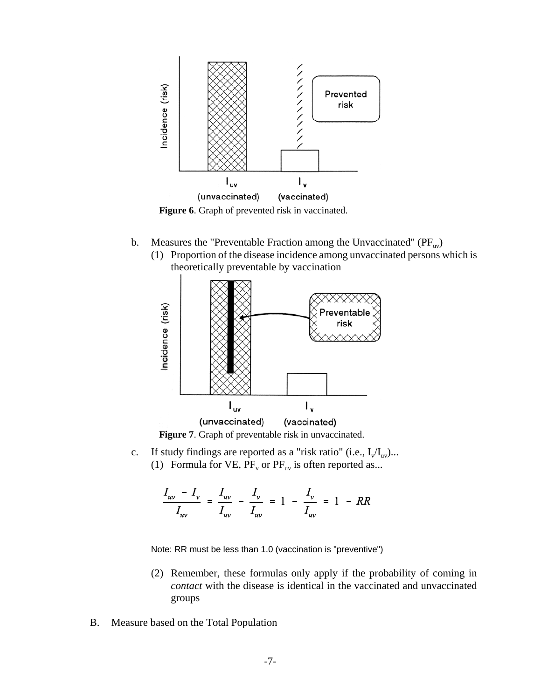

Figure 6. Graph of prevented risk in vaccinated.

- b. Measures the "Preventable Fraction among the Unvaccinated"  $(PF_{uv})$ 
	- (1) Proportion of the disease incidence among unvaccinated persons which is theoretically preventable by vaccination





c. If study findings are reported as a "risk ratio" (i.e.,  $I_v/I_w$ )... (1) Formula for VE,  $PF_v$  or  $PF_{uv}$  is often reported as...

$$
\frac{I_{uv} - I_{v}}{I_{uv}} = \frac{I_{uv}}{I_{uv}} - \frac{I_{v}}{I_{uv}} = 1 - \frac{I_{v}}{I_{uv}} = 1 - RR
$$

Note: RR must be less than 1.0 (vaccination is "preventive")

- (2) Remember, these formulas only apply if the probability of coming in *contact* with the disease is identical in the vaccinated and unvaccinated groups
- B. Measure based on the Total Population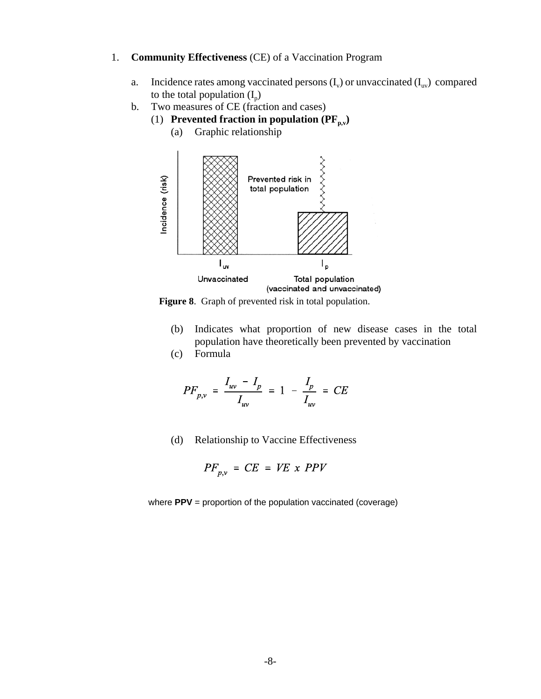- 1. **Community Effectiveness** (CE) of a Vaccination Program
	- a. Incidence rates among vaccinated persons  $(I_v)$  or unvaccinated  $(I_{uv})$  compared to the total population  $(I_n)$
	- b. Two measures of CE (fraction and cases)
		- (1) **Prevented fraction in population**  $(\mathbf{PF}_{p,v})$ 
			- (a) Graphic relationship



**Figure 8**. Graph of prevented risk in total population.

- (b) Indicates what proportion of new disease cases in the total population have theoretically been prevented by vaccination
- (c) Formula

$$
PF_{p,v} = \frac{I_{uv} - I_p}{I_{uv}} = 1 - \frac{I_p}{I_{uv}} = CE
$$

(d) Relationship to Vaccine Effectiveness

$$
PF_{p,\nu} = CE = VE \times PPV
$$

where **PPV** = proportion of the population vaccinated (coverage)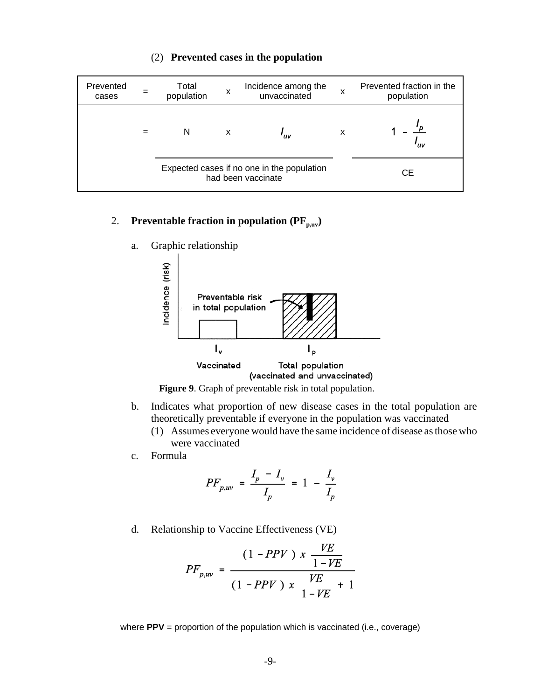| Prevented<br>cases | Total<br>population | X                                                                | Incidence among the<br>unvaccinated |   | Prevented fraction in the<br>population |  |
|--------------------|---------------------|------------------------------------------------------------------|-------------------------------------|---|-----------------------------------------|--|
|                    | N                   | X                                                                | 'uv                                 | X | 'uv                                     |  |
|                    |                     | Expected cases if no one in the population<br>had been vaccinate |                                     |   | CЕ                                      |  |

### (2) **Prevented cases in the population**

# 2. **Preventable fraction in population**  $(\mathbf{PF}_{p,uv})$

a. Graphic relationship





- b. Indicates what proportion of new disease cases in the total population are theoretically preventable if everyone in the population was vaccinated
	- (1) Assumes everyone would have the same incidence of disease as those who were vaccinated
- c. Formula

$$
PF_{p,\text{uv}} = \frac{I_p - I_v}{I_p} = 1 - \frac{I_v}{I_p}
$$

d. Relationship to Vaccine Effectiveness (VE)

$$
PF_{p,uv} = \frac{(1 - PPV) \times \frac{VE}{1 - VE}}{(1 - PPV) \times \frac{VE}{1 - VE} + 1}
$$

where **PPV** = proportion of the population which is vaccinated (i.e., coverage)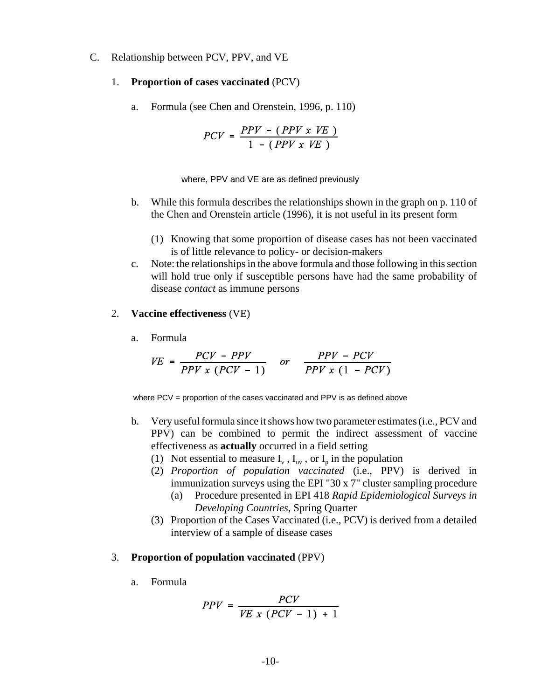- C. Relationship between PCV, PPV, and VE
	- 1. **Proportion of cases vaccinated** (PCV)
		- a. Formula (see Chen and Orenstein, 1996, p. 110)

$$
PCV = \frac{PPV - (PPV \times VE)}{1 - (PPV \times VE)}
$$

where, PPV and VE are as defined previously

- b. While this formula describes the relationships shown in the graph on p. 110 of the Chen and Orenstein article (1996), it is not useful in its present form
	- (1) Knowing that some proportion of disease cases has not been vaccinated is of little relevance to policy- or decision-makers
- c. Note: the relationships in the above formula and those following in this section will hold true only if susceptible persons have had the same probability of disease *contact* as immune persons

#### 2. **Vaccine effectiveness** (VE)

a. Formula

$$
VE = \frac{PCV - PPV}{PPV \times (PCV - 1)} \quad or \quad \frac{PPV - PCV}{PPV \times (1 - PCV)}
$$

where PCV = proportion of the cases vaccinated and PPV is as defined above

- b. Very useful formula since it shows how two parameter estimates (i.e., PCV and PPV) can be combined to permit the indirect assessment of vaccine effectiveness as **actually** occurred in a field setting
	- (1) Not essential to measure  $I_v$ ,  $I_{uv}$ , or  $I_p$  in the population
	- (2) *Proportion of population vaccinated* (i.e., PPV) is derived in immunization surveys using the EPI "30 x 7" cluster sampling procedure
		- (a) Procedure presented in EPI 418 *Rapid Epidemiological Surveys in Developing Countries*, Spring Quarter
	- (3) Proportion of the Cases Vaccinated (i.e., PCV) is derived from a detailed interview of a sample of disease cases

#### 3. **Proportion of population vaccinated** (PPV)

a. Formula

$$
PPV = \frac{PCV}{VE \times (PCV - 1) + 1}
$$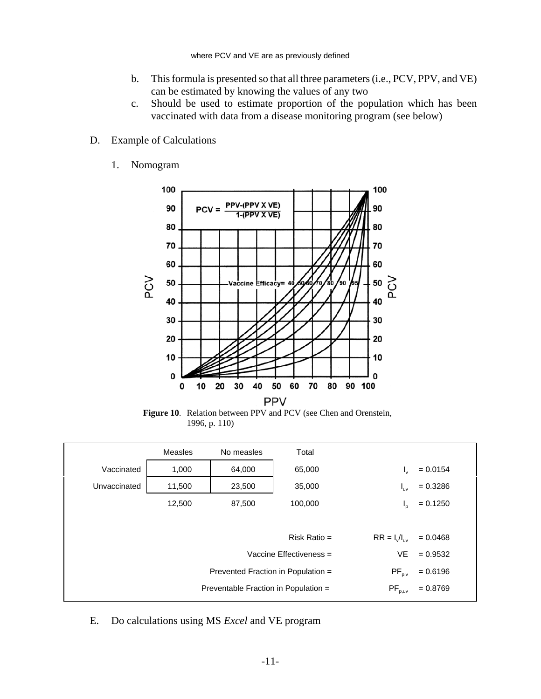- b. This formula is presented so that all three parameters (i.e., PCV, PPV, and VE) can be estimated by knowing the values of any two
- c. Should be used to estimate proportion of the population which has been vaccinated with data from a disease monitoring program (see below)
- D. Example of Calculations
	- 1. Nomogram



**Figure 10**. Relation between PPV and PCV (see Chen and Orenstein, 1996, p. 110)

|              | <b>Measles</b>                       | No measles                         | Total                     |                                        |            |
|--------------|--------------------------------------|------------------------------------|---------------------------|----------------------------------------|------------|
| Vaccinated   | 1,000                                | 64,000                             | 65,000                    | Iv.                                    | $= 0.0154$ |
| Unvaccinated | 11,500                               | 23,500                             | 35,000                    | $I_{uv}$                               | $= 0.3286$ |
|              | 12,500                               | 87,500                             | 100,000                   | $I_{p}$                                | $= 0.1250$ |
|              |                                      |                                    |                           |                                        |            |
|              |                                      |                                    | Risk Ratio $=$            | $RR = I_v/I_{uv}$                      | $= 0.0468$ |
|              |                                      |                                    | Vaccine Effectiveness $=$ | VE.                                    | $= 0.9532$ |
|              |                                      | Prevented Fraction in Population = |                           | $PF_{p,v}$                             | $= 0.6196$ |
|              | Preventable Fraction in Population = |                                    |                           | $\mathsf{PF}_{\mathsf{p},\mathsf{uv}}$ | $= 0.8769$ |

E. Do calculations using MS *Excel* and VE program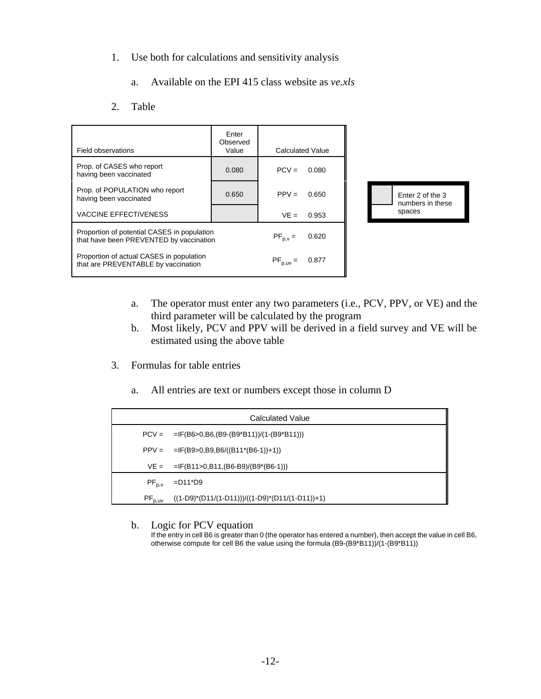- 1. Use both for calculations and sensitivity analysis
	- a. Available on the EPI 415 class website as *ve.xls*
- 2. Table

| Field observations                                                                     | Enter<br>Observed<br>Value | <b>Calculated Value</b> |       |                                     |
|----------------------------------------------------------------------------------------|----------------------------|-------------------------|-------|-------------------------------------|
| Prop. of CASES who report<br>having been vaccinated                                    | 0.080                      | $PCV =$                 | 0.080 |                                     |
| Prop. of POPULATION who report<br>having been vaccinated                               | 0.650                      | $PPV =$                 | 0.650 | Enter 2 of the 3<br>numbers in thes |
| <b>VACCINE EFFECTIVENESS</b>                                                           |                            | $VE =$                  | 0.953 | spaces                              |
| Proportion of potential CASES in population<br>that have been PREVENTED by vaccination |                            | $PF_{p.v} =$            | 0.620 |                                     |
| Proportion of actual CASES in population<br>that are PREVENTABLE by vaccination        |                            | $PF_{p,uv} =$           | 0.877 |                                     |



- a. The operator must enter any two parameters (i.e., PCV, PPV, or VE) and the third parameter will be calculated by the program
- b. Most likely, PCV and PPV will be derived in a field survey and VE will be estimated using the above table
- 3. Formulas for table entries
	- a. All entries are text or numbers except those in column D

|             | Calculated Value                                  |
|-------------|---------------------------------------------------|
|             | $PCV = -IF(B6>0,B6,(B9-(B9*B11))/(1-(B9*B11)))$   |
|             | $PPV = = IF(B9>0,B9,B6/((B11*(B6-1))+1))$         |
|             | $VE =  F(B11>0,B11,(B6-B9)/(B9*(B6-1))) $         |
| $PF_{p,v}$  | $=$ D11*D9                                        |
| $PF_{p,uv}$ | $((1-D9)*(D11/(1-D11)))/((1-D9)*(D11/(1-D11))+1)$ |

b. Logic for PCV equation

If the entry in cell B6 is greater than 0 (the operator has entered a number), then accept the value in cell B6, otherwise compute for cell B6 the value using the formula (B9-(B9\*B11))/(1-(B9\*B11))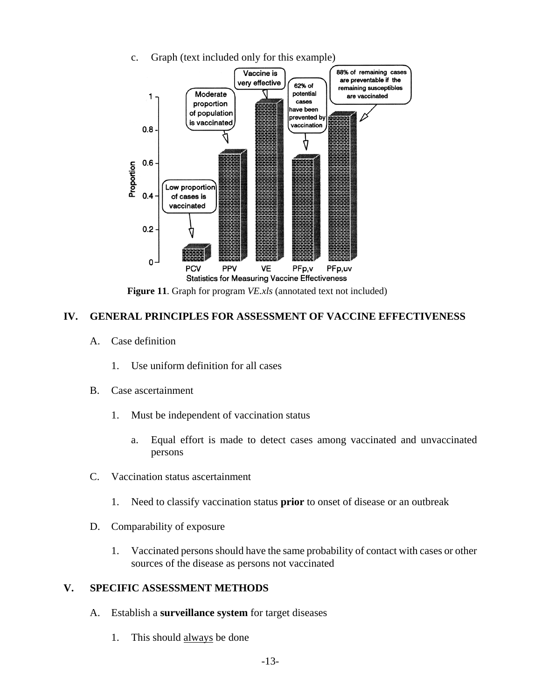

c. Graph (text included only for this example)

**Figure 11**. Graph for program *VE.xls* (annotated text not included)

## **IV. GENERAL PRINCIPLES FOR ASSESSMENT OF VACCINE EFFECTIVENESS**

- A. Case definition
	- 1. Use uniform definition for all cases
- B. Case ascertainment
	- 1. Must be independent of vaccination status
		- a. Equal effort is made to detect cases among vaccinated and unvaccinated persons
- C. Vaccination status ascertainment
	- 1. Need to classify vaccination status **prior** to onset of disease or an outbreak
- D. Comparability of exposure
	- 1. Vaccinated persons should have the same probability of contact with cases or other sources of the disease as persons not vaccinated

## **V. SPECIFIC ASSESSMENT METHODS**

- A. Establish a **surveillance system** for target diseases
	- 1. This should always be done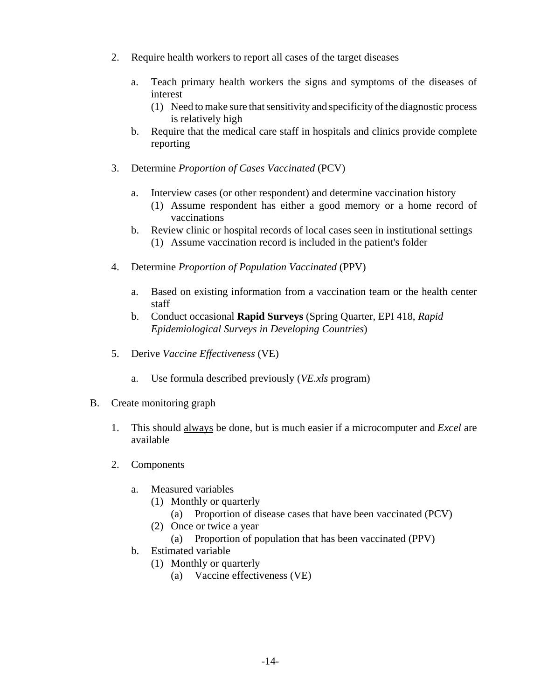- 2. Require health workers to report all cases of the target diseases
	- a. Teach primary health workers the signs and symptoms of the diseases of interest
		- (1) Need to make sure that sensitivity and specificity of the diagnostic process is relatively high
	- b. Require that the medical care staff in hospitals and clinics provide complete reporting
- 3. Determine *Proportion of Cases Vaccinated* (PCV)
	- a. Interview cases (or other respondent) and determine vaccination history
		- (1) Assume respondent has either a good memory or a home record of vaccinations
	- b. Review clinic or hospital records of local cases seen in institutional settings (1) Assume vaccination record is included in the patient's folder
- 4. Determine *Proportion of Population Vaccinated* (PPV)
	- a. Based on existing information from a vaccination team or the health center staff
	- b. Conduct occasional **Rapid Surveys** (Spring Quarter, EPI 418, *Rapid Epidemiological Surveys in Developing Countries*)
- 5. Derive *Vaccine Effectiveness* (VE)
	- a. Use formula described previously (*VE.xls* program)
- B. Create monitoring graph
	- 1. This should always be done, but is much easier if a microcomputer and *Excel* are available
	- 2. Components
		- a. Measured variables
			- (1) Monthly or quarterly
				- (a) Proportion of disease cases that have been vaccinated (PCV)
			- (2) Once or twice a year
				- (a) Proportion of population that has been vaccinated (PPV)
		- b. Estimated variable
			- (1) Monthly or quarterly
				- (a) Vaccine effectiveness (VE)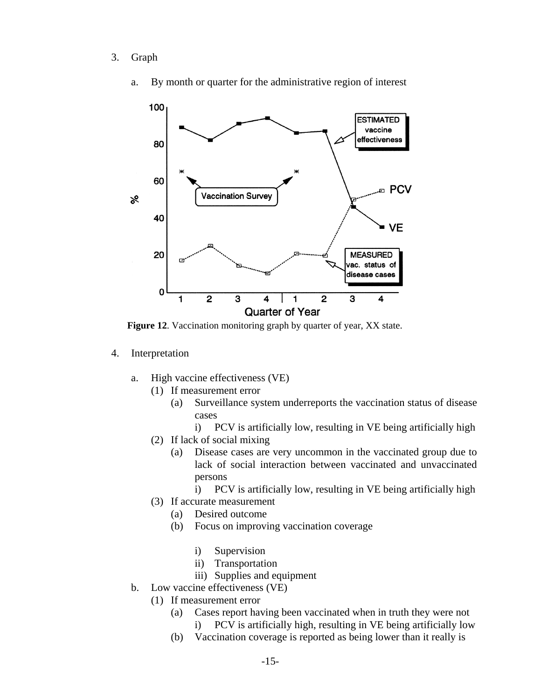3. Graph



a. By month or quarter for the administrative region of interest

**Figure 12**. Vaccination monitoring graph by quarter of year, XX state.

- 4. Interpretation
	- a. High vaccine effectiveness (VE)
		- (1) If measurement error
			- (a) Surveillance system underreports the vaccination status of disease cases
				- i) PCV is artificially low, resulting in VE being artificially high
		- (2) If lack of social mixing
			- (a) Disease cases are very uncommon in the vaccinated group due to lack of social interaction between vaccinated and unvaccinated persons
				- i) PCV is artificially low, resulting in VE being artificially high
		- (3) If accurate measurement
			- (a) Desired outcome
			- (b) Focus on improving vaccination coverage
				- i) Supervision
				- ii) Transportation
				- iii) Supplies and equipment
	- b. Low vaccine effectiveness (VE)
		- (1) If measurement error
			- (a) Cases report having been vaccinated when in truth they were not i) PCV is artificially high, resulting in VE being artificially low
			- (b) Vaccination coverage is reported as being lower than it really is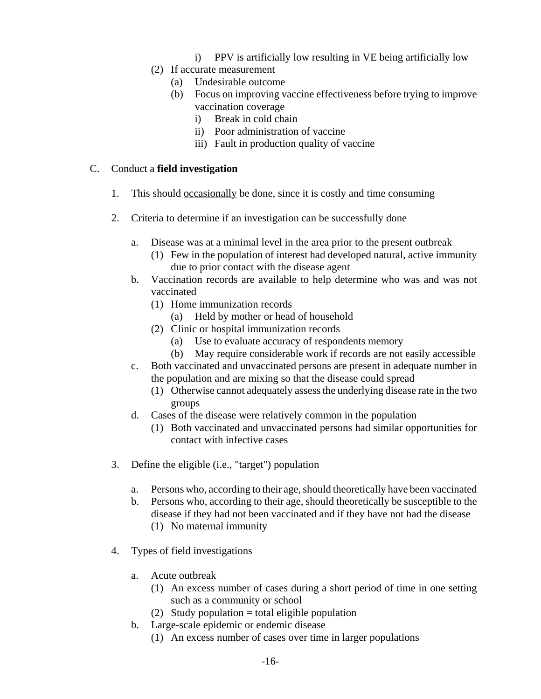- i) PPV is artificially low resulting in VE being artificially low
- (2) If accurate measurement
	- (a) Undesirable outcome
	- (b) Focus on improving vaccine effectiveness before trying to improve vaccination coverage
		- i) Break in cold chain
		- ii) Poor administration of vaccine
		- iii) Fault in production quality of vaccine

## C. Conduct a **field investigation**

- 1. This should occasionally be done, since it is costly and time consuming
- 2. Criteria to determine if an investigation can be successfully done
	- a. Disease was at a minimal level in the area prior to the present outbreak
		- (1) Few in the population of interest had developed natural, active immunity due to prior contact with the disease agent
	- b. Vaccination records are available to help determine who was and was not vaccinated
		- (1) Home immunization records
			- (a) Held by mother or head of household
		- (2) Clinic or hospital immunization records
			- (a) Use to evaluate accuracy of respondents memory
			- (b) May require considerable work if records are not easily accessible
	- c. Both vaccinated and unvaccinated persons are present in adequate number in the population and are mixing so that the disease could spread
		- (1) Otherwise cannot adequately assess the underlying disease rate in the two groups
	- d. Cases of the disease were relatively common in the population
		- (1) Both vaccinated and unvaccinated persons had similar opportunities for contact with infective cases
- 3. Define the eligible (i.e., "target") population
	- a. Persons who, according to their age, should theoretically have been vaccinated
	- b. Persons who, according to their age, should theoretically be susceptible to the disease if they had not been vaccinated and if they have not had the disease (1) No maternal immunity
- 4. Types of field investigations
	- a. Acute outbreak
		- (1) An excess number of cases during a short period of time in one setting such as a community or school
		- (2) Study population  $=$  total eligible population
	- b. Large-scale epidemic or endemic disease
		- (1) An excess number of cases over time in larger populations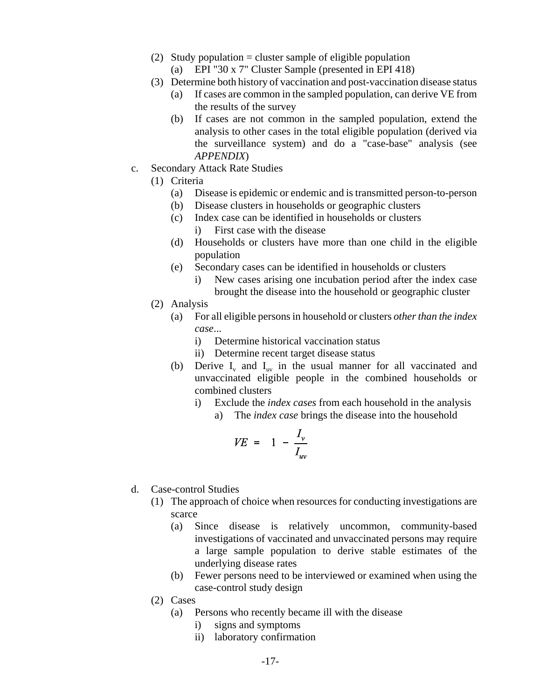- (2) Study population  $=$  cluster sample of eligible population
	- (a) EPI "30 x 7" Cluster Sample (presented in EPI 418)
- (3) Determine both history of vaccination and post-vaccination disease status
	- (a) If cases are common in the sampled population, can derive VE from the results of the survey
	- (b) If cases are not common in the sampled population, extend the analysis to other cases in the total eligible population (derived via the surveillance system) and do a "case-base" analysis (see *APPENDIX*)
- c. Secondary Attack Rate Studies
	- (1) Criteria
		- (a) Disease is epidemic or endemic and is transmitted person-to-person
		- (b) Disease clusters in households or geographic clusters
		- (c) Index case can be identified in households or clusters i) First case with the disease
		- (d) Households or clusters have more than one child in the eligible population
		- (e) Secondary cases can be identified in households or clusters
			- i) New cases arising one incubation period after the index case brought the disease into the household or geographic cluster
	- (2) Analysis
		- (a) For all eligible persons in household or clusters *other than the index case*...
			- i) Determine historical vaccination status
			- ii) Determine recent target disease status
		- (b) Derive  $I_v$  and  $I_{uv}$  in the usual manner for all vaccinated and unvaccinated eligible people in the combined households or combined clusters
			- i) Exclude the *index cases* from each household in the analysis
				- a) The *index case* brings the disease into the household

$$
VE = 1 - \frac{I_v}{I_{uv}}
$$

- d. Case-control Studies
	- (1) The approach of choice when resources for conducting investigations are scarce
		- (a) Since disease is relatively uncommon, community-based investigations of vaccinated and unvaccinated persons may require a large sample population to derive stable estimates of the underlying disease rates
		- (b) Fewer persons need to be interviewed or examined when using the case-control study design
	- (2) Cases
		- (a) Persons who recently became ill with the disease
			- i) signs and symptoms
			- ii) laboratory confirmation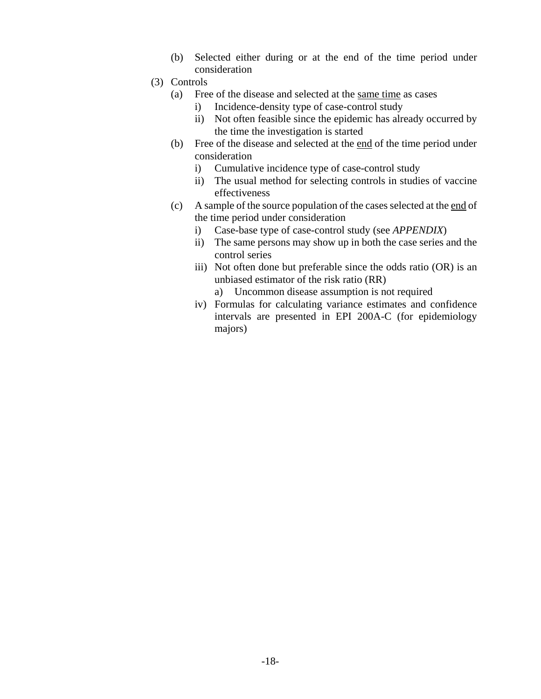- (b) Selected either during or at the end of the time period under consideration
- (3) Controls
	- (a) Free of the disease and selected at the same time as cases
		- i) Incidence-density type of case-control study
		- ii) Not often feasible since the epidemic has already occurred by the time the investigation is started
	- (b) Free of the disease and selected at the end of the time period under consideration
		- i) Cumulative incidence type of case-control study
		- ii) The usual method for selecting controls in studies of vaccine effectiveness
	- (c) A sample of the source population of the cases selected at the end of the time period under consideration
		- i) Case-base type of case-control study (see *APPENDIX*)
		- ii) The same persons may show up in both the case series and the control series
		- iii) Not often done but preferable since the odds ratio (OR) is an unbiased estimator of the risk ratio (RR)
			- a) Uncommon disease assumption is not required
		- iv) Formulas for calculating variance estimates and confidence intervals are presented in EPI 200A-C (for epidemiology majors)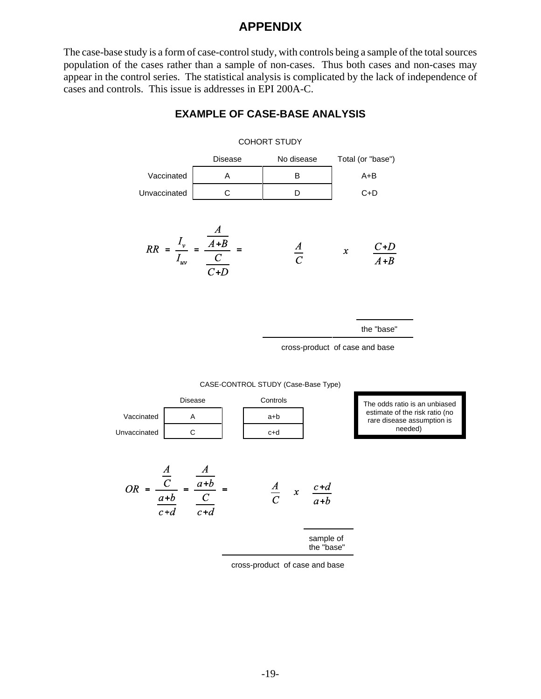# **APPENDIX**

The case-base study is a form of case-control study, with controls being a sample of the total sources population of the cases rather than a sample of non-cases. Thus both cases and non-cases may appear in the control series. The statistical analysis is complicated by the lack of independence of cases and controls. This issue is addresses in EPI 200A-C.

# Disease No disease Total (or "base") Vaccinated A B B A+B Unvaccinated C C D C+D  $RR = \frac{I_v}{I_{uv}} = \frac{\frac{1}{A+B}}{\frac{C}{\frac{1}{A+B}}}$  $\frac{A}{C}$  $\pmb{\mathcal{X}}$

**EXAMPLE OF CASE-BASE ANALYSIS**

COHORT STUDY

the "base"

cross-product of case and base

CASE-CONTROL STUDY (Case-Base Type)



cross-product of case and base